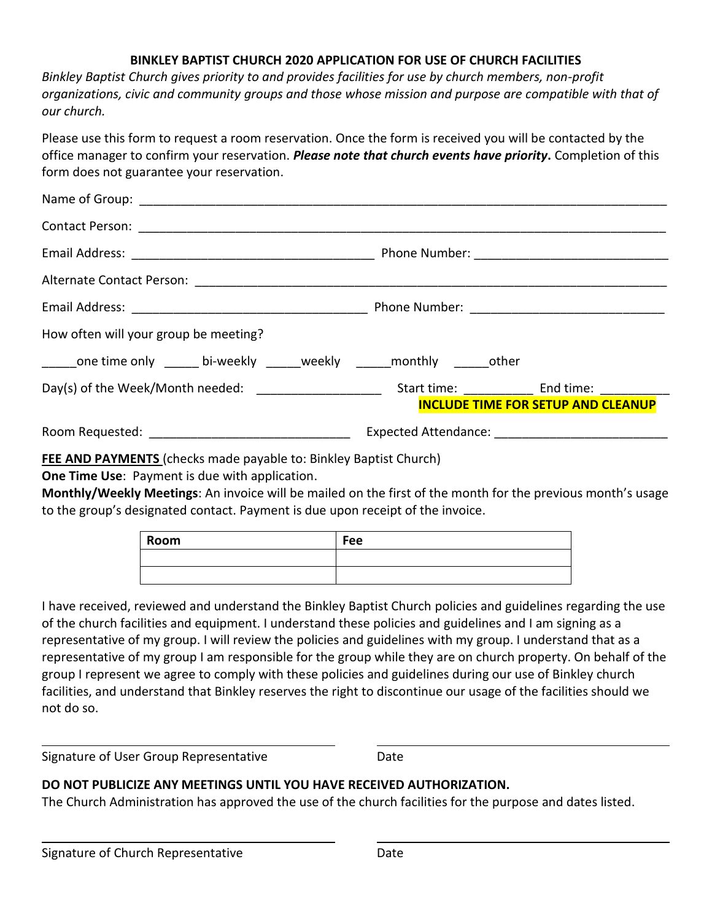## **BINKLEY BAPTIST CHURCH 2020 APPLICATION FOR USE OF CHURCH FACILITIES**

*Binkley Baptist Church gives priority to and provides facilities for use by church members, non-profit organizations, civic and community groups and those whose mission and purpose are compatible with that of our church.*

Please use this form to request a room reservation. Once the form is received you will be contacted by the office manager to confirm your reservation. *Please note that church events have priority***.** Completion of this form does not guarantee your reservation.

| How often will your group be meeting?                                    |                                                                    |
|--------------------------------------------------------------------------|--------------------------------------------------------------------|
| one time only ______ bi-weekly ______ weekly ______ monthly ______ other |                                                                    |
|                                                                          | Start time: End time:<br><b>INCLUDE TIME FOR SETUP AND CLEANUP</b> |
|                                                                          |                                                                    |

**FEE AND PAYMENTS** (checks made payable to: Binkley Baptist Church)

**One Time Use**: Payment is due with application.

**Monthly/Weekly Meetings**: An invoice will be mailed on the first of the month for the previous month's usage to the group's designated contact. Payment is due upon receipt of the invoice.

| Room | Fee |
|------|-----|
|      |     |
|      |     |

I have received, reviewed and understand the Binkley Baptist Church policies and guidelines regarding the use of the church facilities and equipment. I understand these policies and guidelines and I am signing as a representative of my group. I will review the policies and guidelines with my group. I understand that as a representative of my group I am responsible for the group while they are on church property. On behalf of the group I represent we agree to comply with these policies and guidelines during our use of Binkley church facilities, and understand that Binkley reserves the right to discontinue our usage of the facilities should we not do so.

Signature of User Group RepresentativeDate

l

l

## **DO NOT PUBLICIZE ANY MEETINGS UNTIL YOU HAVE RECEIVED AUTHORIZATION.**

The Church Administration has approved the use of the church facilities for the purpose and dates listed.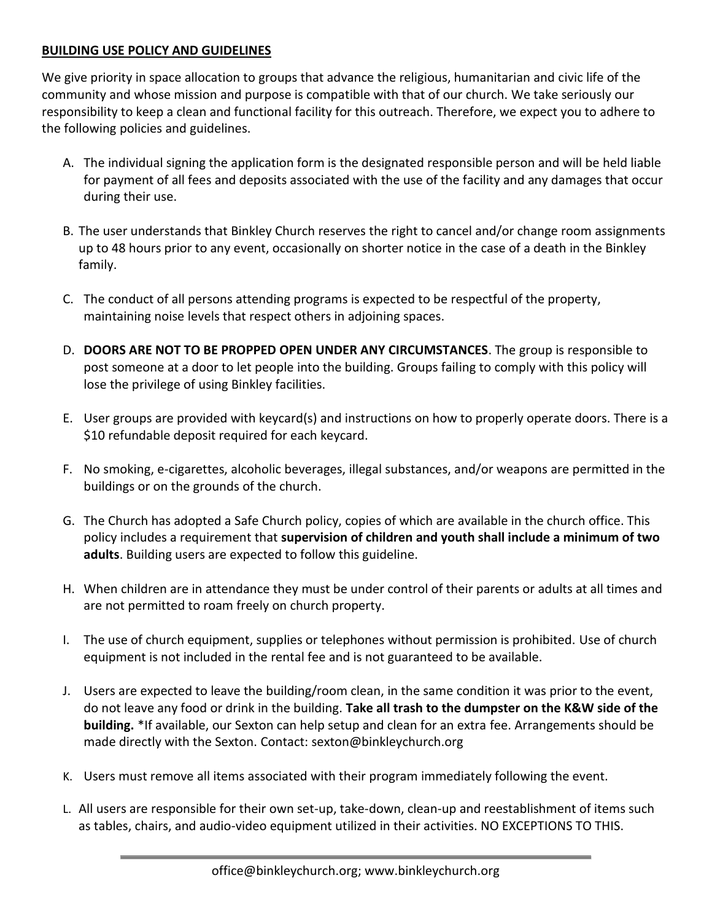## **BUILDING USE POLICY AND GUIDELINES**

We give priority in space allocation to groups that advance the religious, humanitarian and civic life of the community and whose mission and purpose is compatible with that of our church. We take seriously our responsibility to keep a clean and functional facility for this outreach. Therefore, we expect you to adhere to the following policies and guidelines.

- A. The individual signing the application form is the designated responsible person and will be held liable for payment of all fees and deposits associated with the use of the facility and any damages that occur during their use.
- B. The user understands that Binkley Church reserves the right to cancel and/or change room assignments up to 48 hours prior to any event, occasionally on shorter notice in the case of a death in the Binkley family.
- C. The conduct of all persons attending programs is expected to be respectful of the property, maintaining noise levels that respect others in adjoining spaces.
- D. **DOORS ARE NOT TO BE PROPPED OPEN UNDER ANY CIRCUMSTANCES**. The group is responsible to post someone at a door to let people into the building. Groups failing to comply with this policy will lose the privilege of using Binkley facilities.
- E. User groups are provided with keycard(s) and instructions on how to properly operate doors. There is a \$10 refundable deposit required for each keycard.
- F. No smoking, e-cigarettes, alcoholic beverages, illegal substances, and/or weapons are permitted in the buildings or on the grounds of the church.
- G. The Church has adopted a Safe Church policy, copies of which are available in the church office. This policy includes a requirement that **supervision of children and youth shall include a minimum of two adults**. Building users are expected to follow this guideline.
- H. When children are in attendance they must be under control of their parents or adults at all times and are not permitted to roam freely on church property.
- I. The use of church equipment, supplies or telephones without permission is prohibited. Use of church equipment is not included in the rental fee and is not guaranteed to be available.
- J. Users are expected to leave the building/room clean, in the same condition it was prior to the event, do not leave any food or drink in the building. **Take all trash to the dumpster on the K&W side of the building.** \*If available, our Sexton can help setup and clean for an extra fee. Arrangements should be made directly with the Sexton. Contact: sexton@binkleychurch.org
- K. Users must remove all items associated with their program immediately following the event.
- L. All users are responsible for their own set-up, take-down, clean-up and reestablishment of items such as tables, chairs, and audio-video equipment utilized in their activities. NO EXCEPTIONS TO THIS.